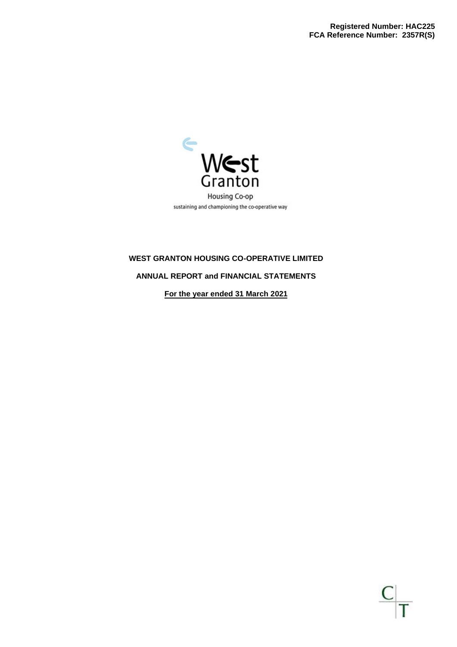

## **ANNUAL REPORT and FINANCIAL STATEMENTS**

**For the year ended 31 March 2021**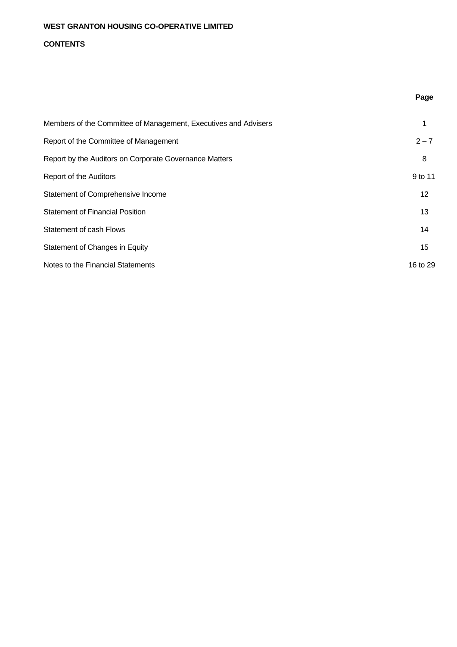## **CONTENTS**

| Members of the Committee of Management, Executives and Advisers | 1        |
|-----------------------------------------------------------------|----------|
| Report of the Committee of Management                           | $2 - 7$  |
| Report by the Auditors on Corporate Governance Matters          | 8        |
| Report of the Auditors                                          | 9 to 11  |
| Statement of Comprehensive Income                               | 12       |
| <b>Statement of Financial Position</b>                          | 13       |
| Statement of cash Flows                                         | 14       |
| Statement of Changes in Equity                                  | 15       |
| Notes to the Financial Statements                               | 16 to 29 |

**Page**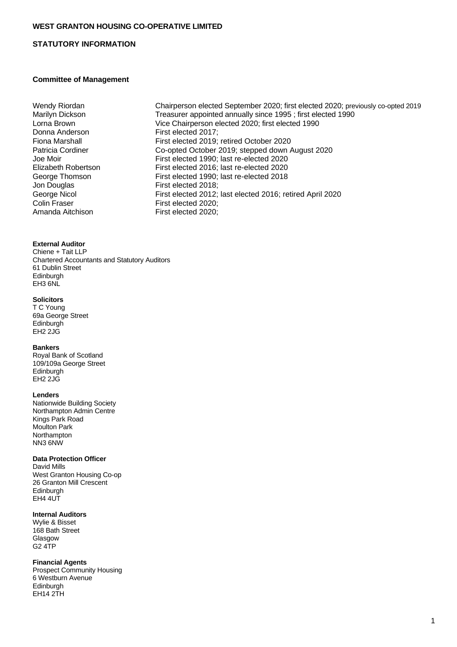## **STATUTORY INFORMATION**

#### **Committee of Management**

Fiona Marshall Patricia Cordiner<br>Joe Moir Elizabeth Robertson George Thomson Jon Douglas George Nicol<br>Colin Fraser Colin Fraser First elected 2020;<br>Amanda Aitchison First elected 2020:

#### **External Auditor**

Chiene + Tait LLP Chartered Accountants and Statutory Auditors 61 Dublin Street Edinburgh EH3 6NL

#### **Solicitors**

T C Young 69a George Street **Edinburgh** EH2 2JG

#### **Bankers**

Royal Bank of Scotland 109/109a George Street Edinburgh EH2 2JG

#### **Lenders**

Nationwide Building Society Northampton Admin Centre Kings Park Road Moulton Park Northampton NN3 6NW

#### **Data Protection Officer**

David Mills West Granton Housing Co-op 26 Granton Mill Crescent Edinburgh **EH4 4UT** 

#### **Internal Auditors**

Wylie & Bisset 168 Bath Street Glasgow G2 4TP

#### **Financial Agents**

Prospect Community Housing 6 Westburn Avenue Edinburgh EH14 2TH

Wendy Riordan Chairperson elected September 2020; first elected 2020; previously co-opted 2019<br>Marilyn Dickson Treasurer appointed annually since 1995; first elected 1990 Marilyn Dickson Treasurer appointed annually since 1995; first elected 1990<br>
Lorna Brown Vice Chairperson elected 2020: first elected 1990 Lorna Brown Vice Chairperson elected 2020; first elected 1990 First elected 2017: First elected 2019; retired October 2020 Co-opted October 2019; stepped down August 2020 First elected 1990; last re-elected 2020 First elected 2016; last re-elected 2020 First elected 1990; last re-elected 2018 First elected 2018; First elected 2012; last elected 2016; retired April 2020 First elected 2020;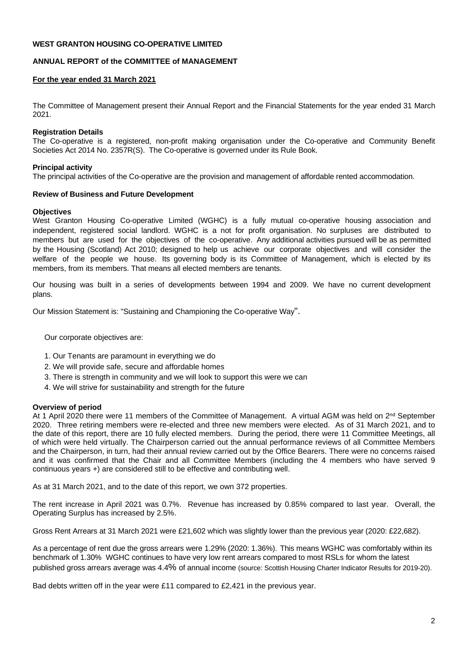## **ANNUAL REPORT of the COMMITTEE of MANAGEMENT**

## **For the year ended 31 March 2021**

The Committee of Management present their Annual Report and the Financial Statements for the year ended 31 March 2021.

#### **Registration Details**

The Co-operative is a registered, non-profit making organisation under the Co-operative and Community Benefit Societies Act 2014 No. 2357R(S). The Co-operative is governed under its Rule Book.

#### **Principal activity**

The principal activities of the Co-operative are the provision and management of affordable rented accommodation.

#### **Review of Business and Future Development**

#### **Objectives**

West Granton Housing Co-operative Limited (WGHC) is a fully mutual co-operative housing association and independent, registered social landlord. WGHC is a not for profit organisation. No surpluses are distributed to members but are used for the objectives of the co-operative. Any additional activities pursued will be as permitted by the Housing (Scotland) Act 2010; designed to help us achieve our corporate objectives and will consider the welfare of the people we house. Its governing body is its Committee of Management, which is elected by its members, from its members. That means all elected members are tenants.

Our housing was built in a series of developments between 1994 and 2009. We have no current development plans.

Our Mission Statement is: "Sustaining and Championing the Co-operative Way".

Our corporate objectives are:

- 1. Our Tenants are paramount in everything we do
- 2. We will provide safe, secure and affordable homes
- 3. There is strength in community and we will look to support this were we can
- 4. We will strive for sustainability and strength for the future

#### **Overview of period**

At 1 April 2020 there were 11 members of the Committee of Management. A virtual AGM was held on 2<sup>nd</sup> September 2020. Three retiring members were re-elected and three new members were elected. As of 31 March 2021, and to the date of this report, there are 10 fully elected members. During the period, there were 11 Committee Meetings, all of which were held virtually. The Chairperson carried out the annual performance reviews of all Committee Members and the Chairperson, in turn, had their annual review carried out by the Office Bearers. There were no concerns raised and it was confirmed that the Chair and all Committee Members (including the 4 members who have served 9 continuous years +) are considered still to be effective and contributing well.

As at 31 March 2021, and to the date of this report, we own 372 properties.

The rent increase in April 2021 was 0.7%. Revenue has increased by 0.85% compared to last year. Overall, the Operating Surplus has increased by 2.5%.

Gross Rent Arrears at 31 March 2021 were £21,602 which was slightly lower than the previous year (2020: £22,682).

As a percentage of rent due the gross arrears were 1.29% (2020: 1.36%). This means WGHC was comfortably within its benchmark of 1.30% WGHC continues to have very low rent arrears compared to most RSLs for whom the latest published gross arrears average was 4.4% of annual income (source: Scottish Housing Charter Indicator Results for 2019-20).

Bad debts written off in the year were £11 compared to £2,421 in the previous year.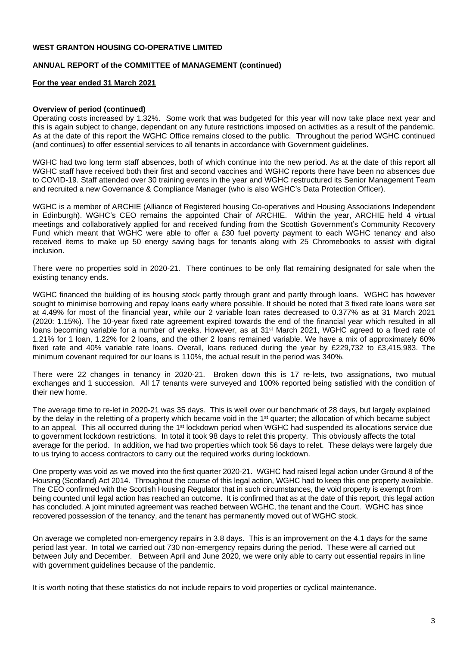### **ANNUAL REPORT of the COMMITTEE of MANAGEMENT (continued)**

#### **For the year ended 31 March 2021**

#### **Overview of period (continued)**

Operating costs increased by 1.32%. Some work that was budgeted for this year will now take place next year and this is again subject to change, dependant on any future restrictions imposed on activities as a result of the pandemic. As at the date of this report the WGHC Office remains closed to the public. Throughout the period WGHC continued (and continues) to offer essential services to all tenants in accordance with Government guidelines.

WGHC had two long term staff absences, both of which continue into the new period. As at the date of this report all WGHC staff have received both their first and second vaccines and WGHC reports there have been no absences due to COVID-19. Staff attended over 30 training events in the year and WGHC restructured its Senior Management Team and recruited a new Governance & Compliance Manager (who is also WGHC's Data Protection Officer).

WGHC is a member of ARCHIE (Alliance of Registered housing Co-operatives and Housing Associations Independent in Edinburgh). WGHC's CEO remains the appointed Chair of ARCHIE. Within the year, ARCHIE held 4 virtual meetings and collaboratively applied for and received funding from the Scottish Government's Community Recovery Fund which meant that WGHC were able to offer a £30 fuel poverty payment to each WGHC tenancy and also received items to make up 50 energy saving bags for tenants along with 25 Chromebooks to assist with digital inclusion.

There were no properties sold in 2020-21. There continues to be only flat remaining designated for sale when the existing tenancy ends.

WGHC financed the building of its housing stock partly through grant and partly through loans. WGHC has however sought to minimise borrowing and repay loans early where possible. It should be noted that 3 fixed rate loans were set at 4.49% for most of the financial year, while our 2 variable loan rates decreased to 0.377% as at 31 March 2021 (2020: 1.15%). The 10-year fixed rate agreement expired towards the end of the financial year which resulted in all loans becoming variable for a number of weeks. However, as at 31<sup>st</sup> March 2021, WGHC agreed to a fixed rate of 1.21% for 1 loan, 1.22% for 2 loans, and the other 2 loans remained variable. We have a mix of approximately 60% fixed rate and 40% variable rate loans. Overall, loans reduced during the year by £229,732 to £3,415,983. The minimum covenant required for our loans is 110%, the actual result in the period was 340%.

There were 22 changes in tenancy in 2020-21. Broken down this is 17 re-lets, two assignations, two mutual exchanges and 1 succession. All 17 tenants were surveyed and 100% reported being satisfied with the condition of their new home.

The average time to re-let in 2020-21 was 35 days. This is well over our benchmark of 28 days, but largely explained by the delay in the reletting of a property which became void in the 1<sup>st</sup> quarter; the allocation of which became subject to an appeal. This all occurred during the 1<sup>st</sup> lockdown period when WGHC had suspended its allocations service due to government lockdown restrictions. In total it took 98 days to relet this property. This obviously affects the total average for the period. In addition, we had two properties which took 56 days to relet. These delays were largely due to us trying to access contractors to carry out the required works during lockdown.

One property was void as we moved into the first quarter 2020-21. WGHC had raised legal action under Ground 8 of the Housing (Scotland) Act 2014. Throughout the course of this legal action, WGHC had to keep this one property available. The CEO confirmed with the Scottish Housing Regulator that in such circumstances, the void property is exempt from being counted until legal action has reached an outcome. It is confirmed that as at the date of this report, this legal action has concluded. A joint minuted agreement was reached between WGHC, the tenant and the Court. WGHC has since recovered possession of the tenancy, and the tenant has permanently moved out of WGHC stock.

On average we completed non-emergency repairs in 3.8 days. This is an improvement on the 4.1 days for the same period last year. In total we carried out 730 non-emergency repairs during the period. These were all carried out between July and December. Between April and June 2020, we were only able to carry out essential repairs in line with government guidelines because of the pandemic.

It is worth noting that these statistics do not include repairs to void properties or cyclical maintenance.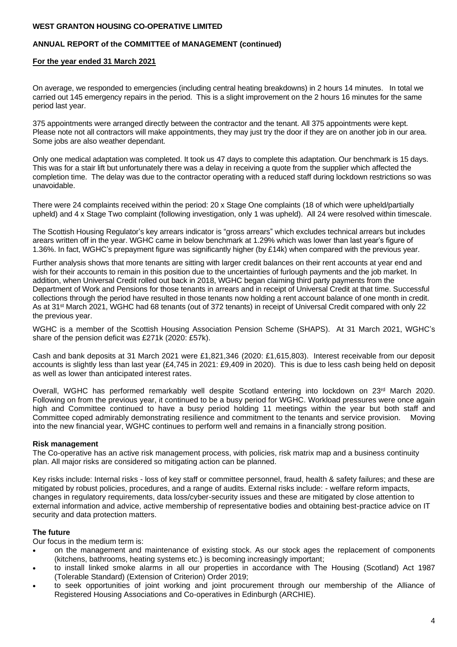## **ANNUAL REPORT of the COMMITTEE of MANAGEMENT (continued)**

#### **For the year ended 31 March 2021**

On average, we responded to emergencies (including central heating breakdowns) in 2 hours 14 minutes. In total we carried out 145 emergency repairs in the period. This is a slight improvement on the 2 hours 16 minutes for the same period last year.

375 appointments were arranged directly between the contractor and the tenant. All 375 appointments were kept. Please note not all contractors will make appointments, they may just try the door if they are on another job in our area. Some jobs are also weather dependant.

Only one medical adaptation was completed. It took us 47 days to complete this adaptation. Our benchmark is 15 days. This was for a stair lift but unfortunately there was a delay in receiving a quote from the supplier which affected the completion time. The delay was due to the contractor operating with a reduced staff during lockdown restrictions so was unavoidable.

There were 24 complaints received within the period: 20 x Stage One complaints (18 of which were upheld/partially upheld) and 4 x Stage Two complaint (following investigation, only 1 was upheld). All 24 were resolved within timescale.

The Scottish Housing Regulator's key arrears indicator is "gross arrears" which excludes technical arrears but includes arears written off in the year. WGHC came in below benchmark at 1.29% which was lower than last year's figure of 1.36%. In fact, WGHC's prepayment figure was significantly higher (by £14k) when compared with the previous year.

Further analysis shows that more tenants are sitting with larger credit balances on their rent accounts at year end and wish for their accounts to remain in this position due to the uncertainties of furlough payments and the job market. In addition, when Universal Credit rolled out back in 2018, WGHC began claiming third party payments from the Department of Work and Pensions for those tenants in arrears and in receipt of Universal Credit at that time. Successful collections through the period have resulted in those tenants now holding a rent account balance of one month in credit. As at 31st March 2021, WGHC had 68 tenants (out of 372 tenants) in receipt of Universal Credit compared with only 22 the previous year.

WGHC is a member of the Scottish Housing Association Pension Scheme (SHAPS). At 31 March 2021, WGHC's share of the pension deficit was £271k (2020: £57k).

Cash and bank deposits at 31 March 2021 were £1,821,346 (2020: £1,615,803). Interest receivable from our deposit accounts is slightly less than last year (£4,745 in 2021: £9,409 in 2020). This is due to less cash being held on deposit as well as lower than anticipated interest rates.

Overall, WGHC has performed remarkably well despite Scotland entering into lockdown on 23rd March 2020. Following on from the previous year, it continued to be a busy period for WGHC. Workload pressures were once again high and Committee continued to have a busy period holding 11 meetings within the year but both staff and Committee coped admirably demonstrating resilience and commitment to the tenants and service provision. Moving into the new financial year, WGHC continues to perform well and remains in a financially strong position.

#### **Risk management**

The Co-operative has an active risk management process, with policies, risk matrix map and a business continuity plan. All major risks are considered so mitigating action can be planned.

Key risks include: Internal risks - loss of key staff or committee personnel, fraud, health & safety failures; and these are mitigated by robust policies, procedures, and a range of audits. External risks include: - welfare reform impacts, changes in regulatory requirements, data loss/cyber-security issues and these are mitigated by close attention to external information and advice, active membership of representative bodies and obtaining best-practice advice on IT security and data protection matters.

## **The future**

Our focus in the medium term is:

- on the management and maintenance of existing stock. As our stock ages the replacement of components (kitchens, bathrooms, heating systems etc.) is becoming increasingly important;
- to install linked smoke alarms in all our properties in accordance with The Housing (Scotland) Act 1987 (Tolerable Standard) (Extension of Criterion) Order 2019;
- to seek opportunities of joint working and joint procurement through our membership of the Alliance of Registered Housing Associations and Co-operatives in Edinburgh (ARCHIE).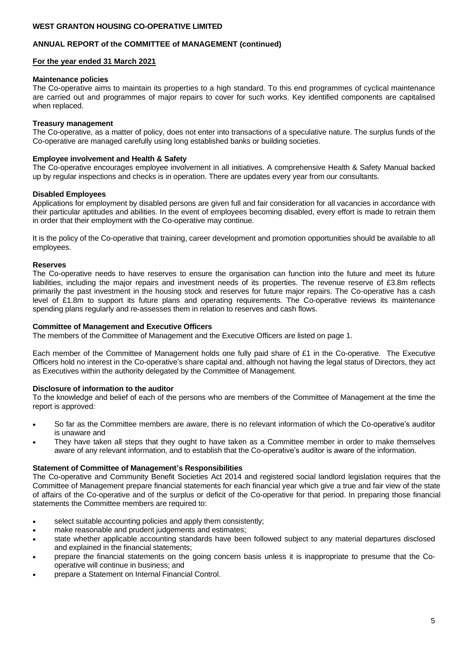#### **ANNUAL REPORT of the COMMITTEE of MANAGEMENT (continued)**

#### **For the year ended 31 March 2021**

#### **Maintenance policies**

The Co-operative aims to maintain its properties to a high standard. To this end programmes of cyclical maintenance are carried out and programmes of major repairs to cover for such works. Key identified components are capitalised when replaced.

#### **Treasury management**

The Co-operative, as a matter of policy, does not enter into transactions of a speculative nature. The surplus funds of the Co-operative are managed carefully using long established banks or building societies.

#### **Employee involvement and Health & Safety**

The Co-operative encourages employee involvement in all initiatives. A comprehensive Health & Safety Manual backed up by regular inspections and checks is in operation. There are updates every year from our consultants.

#### **Disabled Employees**

Applications for employment by disabled persons are given full and fair consideration for all vacancies in accordance with their particular aptitudes and abilities. In the event of employees becoming disabled, every effort is made to retrain them in order that their employment with the Co-operative may continue.

It is the policy of the Co-operative that training, career development and promotion opportunities should be available to all employees.

#### **Reserves**

The Co-operative needs to have reserves to ensure the organisation can function into the future and meet its future liabilities, including the major repairs and investment needs of its properties. The revenue reserve of £3.8m reflects primarily the past investment in the housing stock and reserves for future major repairs. The Co-operative has a cash level of £1.8m to support its future plans and operating requirements. The Co-operative reviews its maintenance spending plans regularly and re-assesses them in relation to reserves and cash flows.

#### **Committee of Management and Executive Officers**

The members of the Committee of Management and the Executive Officers are listed on page 1.

Each member of the Committee of Management holds one fully paid share of £1 in the Co-operative. The Executive Officers hold no interest in the Co-operative's share capital and, although not having the legal status of Directors, they act as Executives within the authority delegated by the Committee of Management.

#### **Disclosure of information to the auditor**

To the knowledge and belief of each of the persons who are members of the Committee of Management at the time the report is approved:

- So far as the Committee members are aware, there is no relevant information of which the Co-operative's auditor is unaware and
- They have taken all steps that they ought to have taken as a Committee member in order to make themselves aware of any relevant information, and to establish that the Co-operative's auditor is aware of the information.

#### **Statement of Committee of Management's Responsibilities**

The Co-operative and Community Benefit Societies Act 2014 and registered social landlord legislation requires that the Committee of Management prepare financial statements for each financial year which give a true and fair view of the state of affairs of the Co-operative and of the surplus or deficit of the Co-operative for that period. In preparing those financial statements the Committee members are required to:

- select suitable accounting policies and apply them consistently;
- make reasonable and prudent judgements and estimates;
- state whether applicable accounting standards have been followed subject to any material departures disclosed and explained in the financial statements;
- prepare the financial statements on the going concern basis unless it is inappropriate to presume that the Cooperative will continue in business; and
- prepare a Statement on Internal Financial Control.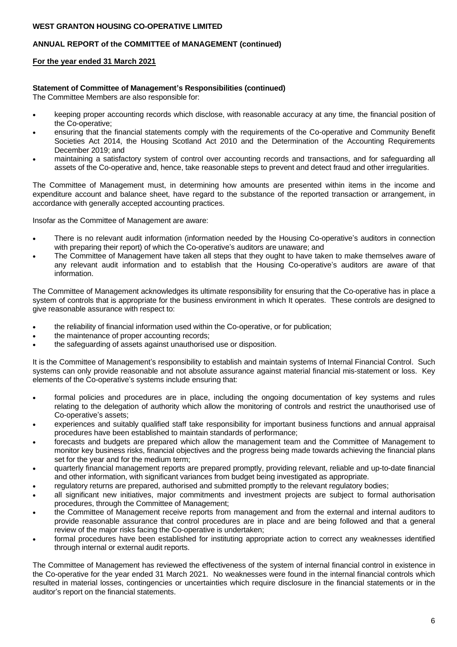## **ANNUAL REPORT of the COMMITTEE of MANAGEMENT (continued)**

## **For the year ended 31 March 2021**

## **Statement of Committee of Management's Responsibilities (continued)**

The Committee Members are also responsible for:

- keeping proper accounting records which disclose, with reasonable accuracy at any time, the financial position of the Co-operative;
- ensuring that the financial statements comply with the requirements of the Co-operative and Community Benefit Societies Act 2014, the Housing Scotland Act 2010 and the Determination of the Accounting Requirements December 2019; and
- maintaining a satisfactory system of control over accounting records and transactions, and for safeguarding all assets of the Co-operative and, hence, take reasonable steps to prevent and detect fraud and other irregularities.

The Committee of Management must, in determining how amounts are presented within items in the income and expenditure account and balance sheet, have regard to the substance of the reported transaction or arrangement, in accordance with generally accepted accounting practices.

Insofar as the Committee of Management are aware:

- There is no relevant audit information (information needed by the Housing Co-operative's auditors in connection with preparing their report) of which the Co-operative's auditors are unaware; and
- The Committee of Management have taken all steps that they ought to have taken to make themselves aware of any relevant audit information and to establish that the Housing Co-operative's auditors are aware of that information.

The Committee of Management acknowledges its ultimate responsibility for ensuring that the Co-operative has in place a system of controls that is appropriate for the business environment in which It operates. These controls are designed to give reasonable assurance with respect to:

- the reliability of financial information used within the Co-operative, or for publication;
- the maintenance of proper accounting records;
- the safeguarding of assets against unauthorised use or disposition.

It is the Committee of Management's responsibility to establish and maintain systems of Internal Financial Control. Such systems can only provide reasonable and not absolute assurance against material financial mis-statement or loss. Key elements of the Co-operative's systems include ensuring that:

- formal policies and procedures are in place, including the ongoing documentation of key systems and rules relating to the delegation of authority which allow the monitoring of controls and restrict the unauthorised use of Co-operative's assets;
- experiences and suitably qualified staff take responsibility for important business functions and annual appraisal procedures have been established to maintain standards of performance;
- forecasts and budgets are prepared which allow the management team and the Committee of Management to monitor key business risks, financial objectives and the progress being made towards achieving the financial plans set for the year and for the medium term;
- quarterly financial management reports are prepared promptly, providing relevant, reliable and up-to-date financial and other information, with significant variances from budget being investigated as appropriate.
- regulatory returns are prepared, authorised and submitted promptly to the relevant regulatory bodies;
- all significant new initiatives, major commitments and investment projects are subject to formal authorisation procedures, through the Committee of Management;
- the Committee of Management receive reports from management and from the external and internal auditors to provide reasonable assurance that control procedures are in place and are being followed and that a general review of the major risks facing the Co-operative is undertaken;
- formal procedures have been established for instituting appropriate action to correct any weaknesses identified through internal or external audit reports.

The Committee of Management has reviewed the effectiveness of the system of internal financial control in existence in the Co-operative for the year ended 31 March 2021. No weaknesses were found in the internal financial controls which resulted in material losses, contingencies or uncertainties which require disclosure in the financial statements or in the auditor's report on the financial statements.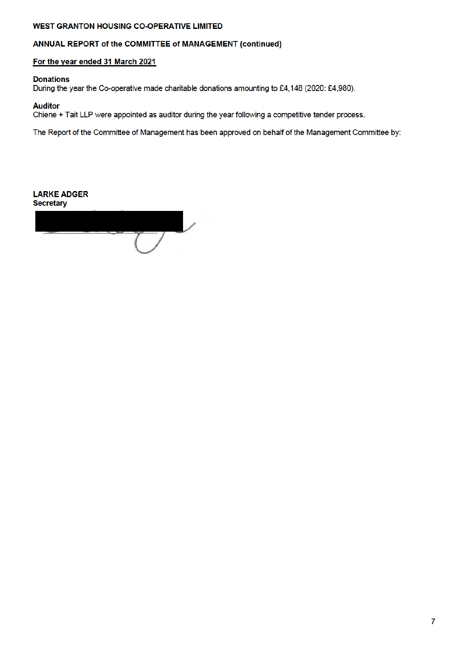## ANNUAL REPORT of the COMMITTEE of MANAGEMENT (continued)

## For the year ended 31 March 2021

## **Donations**

During the year the Co-operative made charitable donations amounting to £4,148 (2020: £4,980).

## **Auditor**

Chiene + Tait LLP were appointed as auditor during the year following a competitive tender process.

The Report of the Committee of Management has been approved on behalf of the Management Committee by:

**LARKE ADGER Secretary**  $\tau$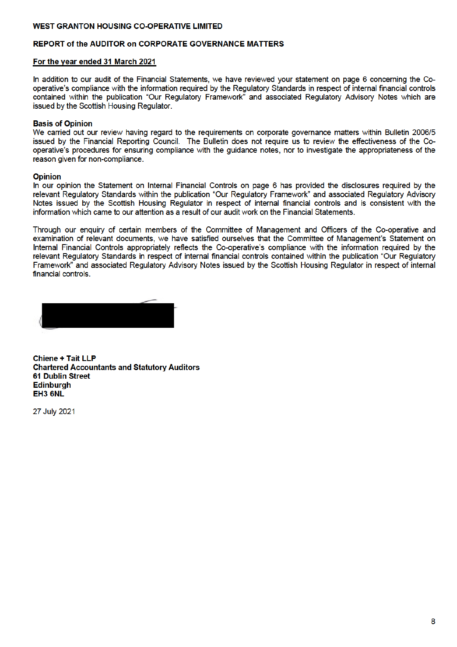## **REPORT of the AUDITOR on CORPORATE GOVERNANCE MATTERS**

#### For the year ended 31 March 2021

In addition to our audit of the Financial Statements, we have reviewed your statement on page 6 concerning the Cooperative's compliance with the information required by the Regulatory Standards in respect of internal financial controls contained within the publication "Our Regulatory Framework" and associated Regulatory Advisory Notes which are issued by the Scottish Housing Regulator.

#### **Basis of Opinion**

We carried out our review having regard to the reguirements on corporate governance matters within Bulletin 2006/5 issued by the Financial Reporting Council. The Bulletin does not require us to review the effectiveness of the Cooperative's procedures for ensuring compliance with the quidance notes, nor to investigate the appropriateness of the reason given for non-compliance.

#### **Opinion**

In our opinion the Statement on Internal Financial Controls on page 6 has provided the disclosures required by the relevant Regulatory Standards within the publication "Our Regulatory Framework" and associated Regulatory Advisory Notes issued by the Scottish Housing Regulator in respect of internal financial controls and is consistent with the information which came to our attention as a result of our audit work on the Financial Statements.

Through our enquiry of certain members of the Committee of Management and Officers of the Co-operative and examination of relevant documents, we have satisfied ourselves that the Committee of Management's Statement on Internal Financial Controls appropriately reflects the Co-operative's compliance with the information required by the relevant Regulatory Standards in respect of internal financial controls contained within the publication "Our Regulatory Framework" and associated Regulatory Advisory Notes issued by the Scottish Housing Regulator in respect of internal financial controls.

**Chiene + Tait LLP Chartered Accountants and Statutory Auditors 61 Dublin Street Edinburgh** EH<sub>3</sub> 6NL

27 July 2021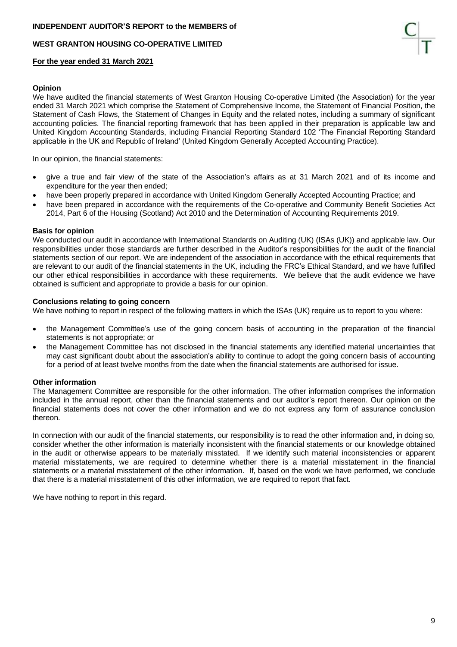

#### **For the year ended 31 March 2021**

#### **Opinion**

We have audited the financial statements of West Granton Housing Co-operative Limited (the Association) for the year ended 31 March 2021 which comprise the Statement of Comprehensive Income, the Statement of Financial Position, the Statement of Cash Flows, the Statement of Changes in Equity and the related notes, including a summary of significant accounting policies. The financial reporting framework that has been applied in their preparation is applicable law and United Kingdom Accounting Standards, including Financial Reporting Standard 102 'The Financial Reporting Standard applicable in the UK and Republic of Ireland' (United Kingdom Generally Accepted Accounting Practice).

In our opinion, the financial statements:

- give a true and fair view of the state of the Association's affairs as at 31 March 2021 and of its income and expenditure for the year then ended;
- have been properly prepared in accordance with United Kingdom Generally Accepted Accounting Practice; and
- have been prepared in accordance with the requirements of the Co-operative and Community Benefit Societies Act 2014, Part 6 of the Housing (Scotland) Act 2010 and the Determination of Accounting Requirements 2019.

#### **Basis for opinion**

We conducted our audit in accordance with International Standards on Auditing (UK) (ISAs (UK)) and applicable law. Our responsibilities under those standards are further described in the Auditor's responsibilities for the audit of the financial statements section of our report. We are independent of the association in accordance with the ethical requirements that are relevant to our audit of the financial statements in the UK, including the FRC's Ethical Standard, and we have fulfilled our other ethical responsibilities in accordance with these requirements. We believe that the audit evidence we have obtained is sufficient and appropriate to provide a basis for our opinion.

#### **Conclusions relating to going concern**

We have nothing to report in respect of the following matters in which the ISAs (UK) require us to report to you where:

- the Management Committee's use of the going concern basis of accounting in the preparation of the financial statements is not appropriate; or
- the Management Committee has not disclosed in the financial statements any identified material uncertainties that may cast significant doubt about the association's ability to continue to adopt the going concern basis of accounting for a period of at least twelve months from the date when the financial statements are authorised for issue.

#### **Other information**

The Management Committee are responsible for the other information. The other information comprises the information included in the annual report, other than the financial statements and our auditor's report thereon. Our opinion on the financial statements does not cover the other information and we do not express any form of assurance conclusion thereon.

In connection with our audit of the financial statements, our responsibility is to read the other information and, in doing so, consider whether the other information is materially inconsistent with the financial statements or our knowledge obtained in the audit or otherwise appears to be materially misstated. If we identify such material inconsistencies or apparent material misstatements, we are required to determine whether there is a material misstatement in the financial statements or a material misstatement of the other information. If, based on the work we have performed, we conclude that there is a material misstatement of this other information, we are required to report that fact.

We have nothing to report in this regard.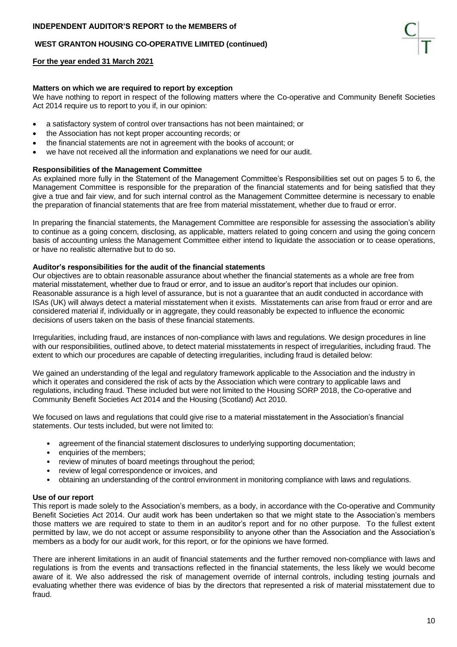## **WEST GRANTON HOUSING CO-OPERATIVE LIMITED (continued)**

#### **For the year ended 31 March 2021**

#### **Matters on which we are required to report by exception**

We have nothing to report in respect of the following matters where the Co-operative and Community Benefit Societies Act 2014 require us to report to you if, in our opinion:

- a satisfactory system of control over transactions has not been maintained; or
- the Association has not kept proper accounting records; or
- the financial statements are not in agreement with the books of account; or
- we have not received all the information and explanations we need for our audit.

#### **Responsibilities of the Management Committee**

As explained more fully in the Statement of the Management Committee's Responsibilities set out on pages 5 to 6, the Management Committee is responsible for the preparation of the financial statements and for being satisfied that they give a true and fair view, and for such internal control as the Management Committee determine is necessary to enable the preparation of financial statements that are free from material misstatement, whether due to fraud or error.

In preparing the financial statements, the Management Committee are responsible for assessing the association's ability to continue as a going concern, disclosing, as applicable, matters related to going concern and using the going concern basis of accounting unless the Management Committee either intend to liquidate the association or to cease operations, or have no realistic alternative but to do so.

#### **Auditor's responsibilities for the audit of the financial statements**

Our objectives are to obtain reasonable assurance about whether the financial statements as a whole are free from material misstatement, whether due to fraud or error, and to issue an auditor's report that includes our opinion. Reasonable assurance is a high level of assurance, but is not a guarantee that an audit conducted in accordance with ISAs (UK) will always detect a material misstatement when it exists. Misstatements can arise from fraud or error and are considered material if, individually or in aggregate, they could reasonably be expected to influence the economic decisions of users taken on the basis of these financial statements.

Irregularities, including fraud, are instances of non-compliance with laws and regulations. We design procedures in line with our responsibilities, outlined above, to detect material misstatements in respect of irregularities, including fraud. The extent to which our procedures are capable of detecting irregularities, including fraud is detailed below:

We gained an understanding of the legal and regulatory framework applicable to the Association and the industry in which it operates and considered the risk of acts by the Association which were contrary to applicable laws and regulations, including fraud. These included but were not limited to the Housing SORP 2018, the Co-operative and Community Benefit Societies Act 2014 and the Housing (Scotland) Act 2010.

We focused on laws and regulations that could give rise to a material misstatement in the Association's financial statements. Our tests included, but were not limited to:

- agreement of the financial statement disclosures to underlying supporting documentation;
- enquiries of the members:
- review of minutes of board meetings throughout the period;
- review of legal correspondence or invoices, and
- obtaining an understanding of the control environment in monitoring compliance with laws and regulations.

#### **Use of our report**

This report is made solely to the Association's members, as a body, in accordance with the Co-operative and Community Benefit Societies Act 2014. Our audit work has been undertaken so that we might state to the Association's members those matters we are required to state to them in an auditor's report and for no other purpose. To the fullest extent permitted by law, we do not accept or assume responsibility to anyone other than the Association and the Association's members as a body for our audit work, for this report, or for the opinions we have formed.

There are inherent limitations in an audit of financial statements and the further removed non-compliance with laws and regulations is from the events and transactions reflected in the financial statements, the less likely we would become aware of it. We also addressed the risk of management override of internal controls, including testing journals and evaluating whether there was evidence of bias by the directors that represented a risk of material misstatement due to fraud.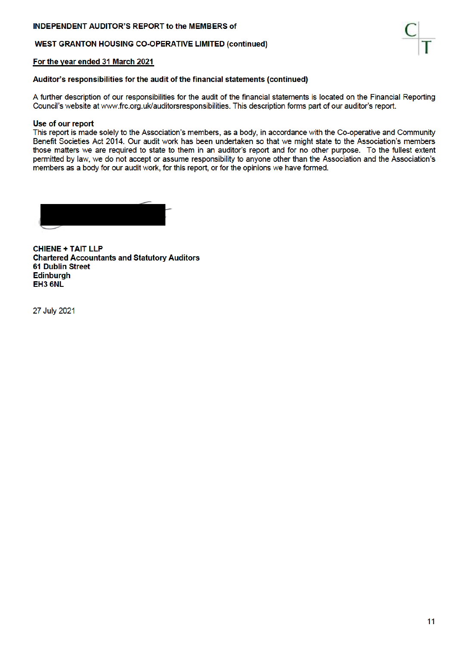## **INDEPENDENT AUDITOR'S REPORT to the MEMBERS of**

## **WEST GRANTON HOUSING CO-OPERATIVE LIMITED (continued)**

### For the year ended 31 March 2021

Auditor's responsibilities for the audit of the financial statements (continued)

A further description of our responsibilities for the audit of the financial statements is located on the Financial Reporting Council's website at www.frc.org.uk/auditorsresponsibilities. This description forms part of our auditor's report.

#### Use of our report

This report is made solely to the Association's members, as a body, in accordance with the Co-operative and Community Benefit Societies Act 2014. Our audit work has been undertaken so that we might state to the Association's members those matters we are required to state to them in an auditor's report and for no other purpose. To the fullest extent permitted by law, we do not accept or assume responsibility to anyone other than the Association and the Association's members as a body for our audit work, for this report, or for the opinions we have formed.

**CHIENE + TAIT LLP Chartered Accountants and Statutory Auditors 61 Dublin Street Edinburah** EH3 6NL

27 July 2021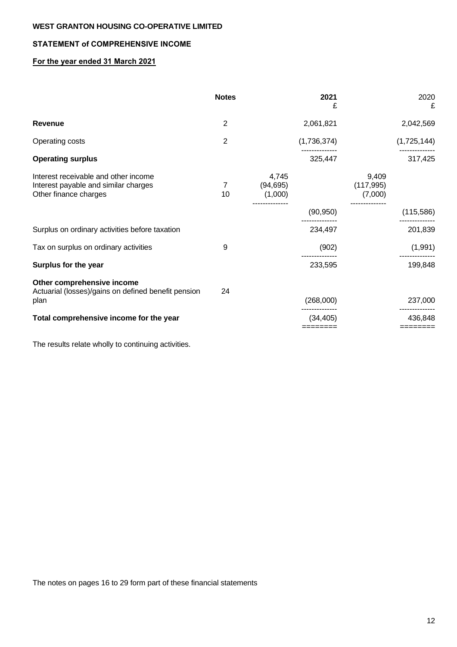## **STATEMENT of COMPREHENSIVE INCOME**

## **For the year ended 31 March 2021**

|                                                                                                       | <b>Notes</b>   |                               | 2021<br>£             | 2020<br>£                      |
|-------------------------------------------------------------------------------------------------------|----------------|-------------------------------|-----------------------|--------------------------------|
| <b>Revenue</b>                                                                                        | $\overline{2}$ |                               | 2,061,821             | 2,042,569                      |
| Operating costs                                                                                       | $\overline{2}$ |                               | (1,736,374)           | (1,725,144)                    |
| <b>Operating surplus</b>                                                                              |                |                               | 325,447               | 317,425                        |
| Interest receivable and other income<br>Interest payable and similar charges<br>Other finance charges | 7<br>10        | 4,745<br>(94, 695)<br>(1,000) |                       | 9,409<br>(117, 995)<br>(7,000) |
|                                                                                                       |                |                               | (90, 950)             | (115,586)                      |
| Surplus on ordinary activities before taxation                                                        |                |                               | 234,497               | 201,839                        |
| Tax on surplus on ordinary activities                                                                 | 9              |                               | (902)                 | (1,991)                        |
| Surplus for the year                                                                                  |                |                               | 233,595               | 199,848                        |
| Other comprehensive income<br>Actuarial (losses)/gains on defined benefit pension<br>plan             | 24             |                               | (268,000)             | 237,000                        |
| Total comprehensive income for the year                                                               |                |                               | (34, 405)<br>======== | 436,848<br>========            |
|                                                                                                       |                |                               |                       |                                |

The results relate wholly to continuing activities.

The notes on pages 16 to 29 form part of these financial statements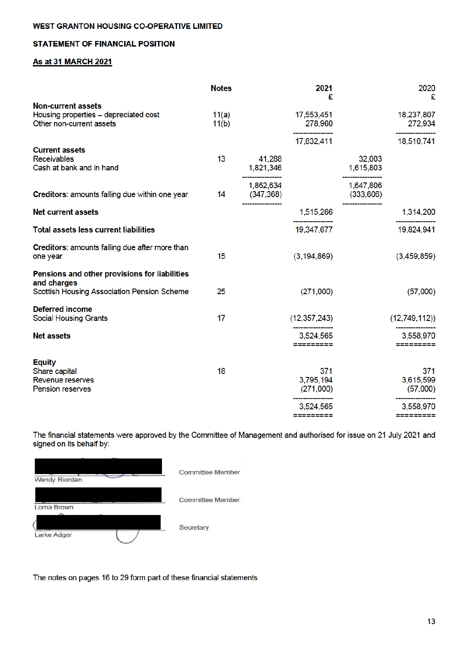## **STATEMENT OF FINANCIAL POSITION**

## **As at 31 MARCH 2021**

|                                                                                                             | <b>Notes</b>   |                         | 2021<br>£                     |                        | 2020<br>£                    |
|-------------------------------------------------------------------------------------------------------------|----------------|-------------------------|-------------------------------|------------------------|------------------------------|
| <b>Non-current assets</b><br>Housing properties - depreciated cost<br>Other non-current assets              | 11(a)<br>11(b) |                         | 17,553,451<br>278,960         |                        | 18,237,807<br>272,934        |
| <b>Current assets</b><br><b>Receivables</b><br>Cash at bank and in hand                                     | 13             | 41,288<br>1,821,346     | 17,832,411                    | 32,003<br>1,615,803    | 18,510,741                   |
| Creditors: amounts falling due within one year                                                              | 14             | 1,862,634<br>(347, 368) |                               | 1,647,806<br>(333,606) |                              |
| <b>Net current assets</b>                                                                                   |                |                         | 1,515,266                     |                        | 1,314,200                    |
| <b>Total assets less current liabilities</b>                                                                |                |                         | 19,347,677                    |                        | 19,824,941                   |
| Creditors: amounts falling due after more than<br>one year                                                  | 15             |                         | (3, 194, 869)                 |                        | (3,459,859)                  |
| Pensions and other provisions for liabilities<br>and charges<br>Scottish Housing Association Pension Scheme | 25             |                         | (271,000)                     |                        | (57,000)                     |
| <b>Deferred income</b><br><b>Social Housing Grants</b>                                                      | 17             |                         | (12, 357, 243)                |                        | (12,749,112)                 |
| <b>Net assets</b>                                                                                           |                |                         | 3,524,565<br>=========        |                        | 3,558,970<br>---------       |
| <b>Equity</b><br>Share capital<br>Revenue reserves<br>Pension reserves                                      | 18             |                         | 371<br>3,795,194<br>(271,000) |                        | 371<br>3,615,599<br>(57,000) |
|                                                                                                             |                |                         | 3,524,565<br>=========        |                        | 3,558,970<br>--------        |

The financial statements were approved by the Committee of Management and authorised for issue on 21 July 2021 and signed on its behalf by:

| Wendy Riordan | <b>Committee Member</b> |
|---------------|-------------------------|
| Lorna Brown   | <b>Committee Member</b> |
| Larke Adger   | Secretary               |

The notes on pages 16 to 29 form part of these financial statements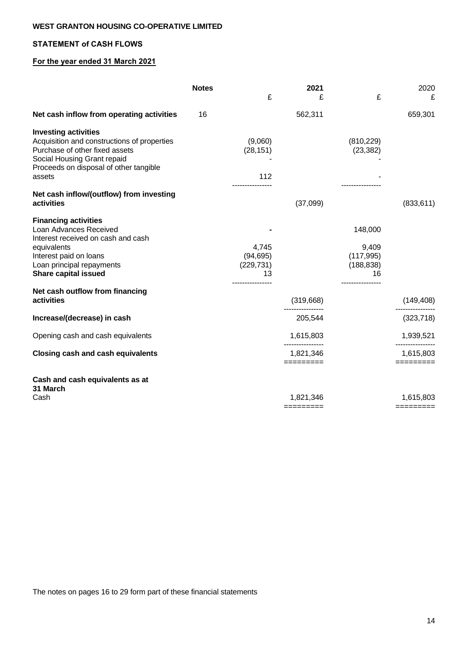## **STATEMENT of CASH FLOWS**

## **For the year ended 31 March 2021**

|                                                                                                                                                                                                  | <b>Notes</b> |                                                            | 2021                                       |                                                                       | 2020                                    |
|--------------------------------------------------------------------------------------------------------------------------------------------------------------------------------------------------|--------------|------------------------------------------------------------|--------------------------------------------|-----------------------------------------------------------------------|-----------------------------------------|
|                                                                                                                                                                                                  |              | £                                                          | £                                          | £                                                                     | £                                       |
| Net cash inflow from operating activities                                                                                                                                                        | 16           |                                                            | 562,311                                    |                                                                       | 659,301                                 |
| <b>Investing activities</b><br>Acquisition and constructions of properties<br>Purchase of other fixed assets<br>Social Housing Grant repaid<br>Proceeds on disposal of other tangible<br>assets  |              | (9,060)<br>(28, 151)<br>112                                |                                            | (810, 229)<br>(23, 382)                                               |                                         |
| Net cash inflow/(outflow) from investing<br>activities                                                                                                                                           |              | ----------------                                           | (37,099)                                   |                                                                       | (833, 611)                              |
| <b>Financing activities</b><br>Loan Advances Received<br>Interest received on cash and cash<br>equivalents<br>Interest paid on loans<br>Loan principal repayments<br><b>Share capital issued</b> |              | 4,745<br>(94, 695)<br>(229, 731)<br>13<br>---------------- |                                            | 148,000<br>9,409<br>(117, 995)<br>(188, 838)<br>16<br>--------------- |                                         |
| Net cash outflow from financing<br>activities                                                                                                                                                    |              |                                                            | (319,668)                                  |                                                                       | (149, 408)                              |
| Increase/(decrease) in cash                                                                                                                                                                      |              |                                                            | 205,544                                    |                                                                       | (323, 718)                              |
| Opening cash and cash equivalents                                                                                                                                                                |              |                                                            | 1,615,803                                  |                                                                       | 1,939,521                               |
| <b>Closing cash and cash equivalents</b>                                                                                                                                                         |              |                                                            | ----------------<br>1,821,346<br>========= |                                                                       | -------------<br>1,615,803<br>========= |
| Cash and cash equivalents as at<br>31 March                                                                                                                                                      |              |                                                            |                                            |                                                                       |                                         |
| Cash                                                                                                                                                                                             |              |                                                            | 1,821,346<br>=========                     |                                                                       | 1,615,803<br>$=$ ========               |

The notes on pages 16 to 29 form part of these financial statements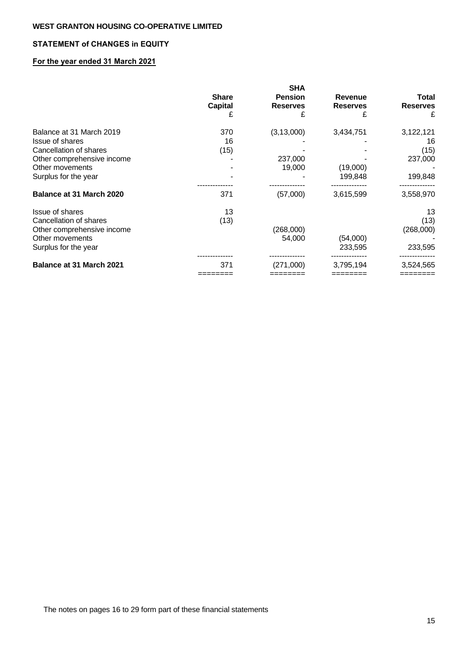## **STATEMENT of CHANGES in EQUITY**

## **For the year ended 31 March 2021**

|                                 |                | <b>SHA</b>      |                 |                 |
|---------------------------------|----------------|-----------------|-----------------|-----------------|
|                                 | <b>Share</b>   | <b>Pension</b>  | <b>Revenue</b>  | <b>Total</b>    |
|                                 | <b>Capital</b> | <b>Reserves</b> | <b>Reserves</b> | <b>Reserves</b> |
|                                 | £              |                 | £               | £               |
| Balance at 31 March 2019        | 370            | (3, 13, 000)    | 3,434,751       | 3,122,121       |
| Issue of shares                 | 16             |                 |                 | 16              |
| Cancellation of shares          | (15)           |                 |                 | (15)            |
| Other comprehensive income      |                | 237,000         |                 | 237,000         |
| Other movements                 |                | 19,000          | (19,000)        |                 |
| Surplus for the year            |                |                 | 199,848         | 199,848         |
|                                 |                |                 |                 |                 |
| <b>Balance at 31 March 2020</b> | 371            | (57,000)        | 3,615,599       | 3,558,970       |
| Issue of shares                 | 13             |                 |                 | 13              |
| Cancellation of shares          | (13)           |                 |                 | (13)            |
| Other comprehensive income      |                | (268,000)       |                 | (268,000)       |
| Other movements                 |                | 54,000          | (54,000)        |                 |
| Surplus for the year            |                |                 | 233,595         | 233,595         |
| <b>Balance at 31 March 2021</b> | 371            | (271,000)       | 3,795,194       | 3,524,565       |
|                                 |                |                 |                 |                 |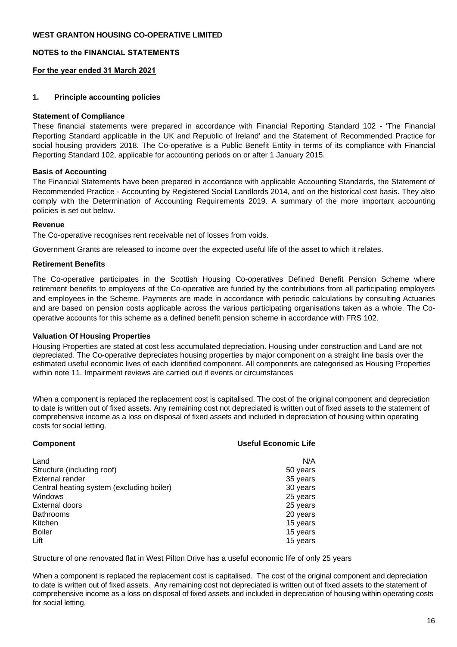## **NOTES to the FINANCIAL STATEMENTS**

## **For the year ended 31 March 2021**

## **1. Principle accounting policies**

#### **Statement of Compliance**

These financial statements were prepared in accordance with Financial Reporting Standard 102 - 'The Financial Reporting Standard applicable in the UK and Republic of Ireland' and the Statement of Recommended Practice for social housing providers 2018. The Co-operative is a Public Benefit Entity in terms of its compliance with Financial Reporting Standard 102, applicable for accounting periods on or after 1 January 2015.

#### **Basis of Accounting**

The Financial Statements have been prepared in accordance with applicable Accounting Standards, the Statement of Recommended Practice - Accounting by Registered Social Landlords 2014, and on the historical cost basis. They also comply with the Determination of Accounting Requirements 2019. A summary of the more important accounting policies is set out below.

#### **Revenue**

The Co-operative recognises rent receivable net of losses from voids.

Government Grants are released to income over the expected useful life of the asset to which it relates.

#### **Retirement Benefits**

The Co-operative participates in the Scottish Housing Co-operatives Defined Benefit Pension Scheme where retirement benefits to employees of the Co-operative are funded by the contributions from all participating employers and employees in the Scheme. Payments are made in accordance with periodic calculations by consulting Actuaries and are based on pension costs applicable across the various participating organisations taken as a whole. The Cooperative accounts for this scheme as a defined benefit pension scheme in accordance with FRS 102.

## **Valuation Of Housing Properties**

Housing Properties are stated at cost less accumulated depreciation. Housing under construction and Land are not depreciated. The Co-operative depreciates housing properties by major component on a straight line basis over the estimated useful economic lives of each identified component. All components are categorised as Housing Properties within note 11. Impairment reviews are carried out if events or circumstances

When a component is replaced the replacement cost is capitalised. The cost of the original component and depreciation to date is written out of fixed assets. Any remaining cost not depreciated is written out of fixed assets to the statement of comprehensive income as a loss on disposal of fixed assets and included in depreciation of housing within operating costs for social letting.

| <b>Component</b>                          | <b>Useful Economic Life</b> |
|-------------------------------------------|-----------------------------|
| Land                                      | N/A                         |
| Structure (including roof)                | 50 years                    |
| <b>External render</b>                    | 35 years                    |
| Central heating system (excluding boiler) | 30 years                    |
| Windows                                   | 25 years                    |
| External doors                            | 25 years                    |
| <b>Bathrooms</b>                          | 20 years                    |
| Kitchen                                   | 15 years                    |
| <b>Boiler</b>                             | 15 years                    |
| Lift                                      | 15 years                    |

Structure of one renovated flat in West Pilton Drive has a useful economic life of only 25 years

When a component is replaced the replacement cost is capitalised. The cost of the original component and depreciation to date is written out of fixed assets. Any remaining cost not depreciated is written out of fixed assets to the statement of comprehensive income as a loss on disposal of fixed assets and included in depreciation of housing within operating costs for social letting.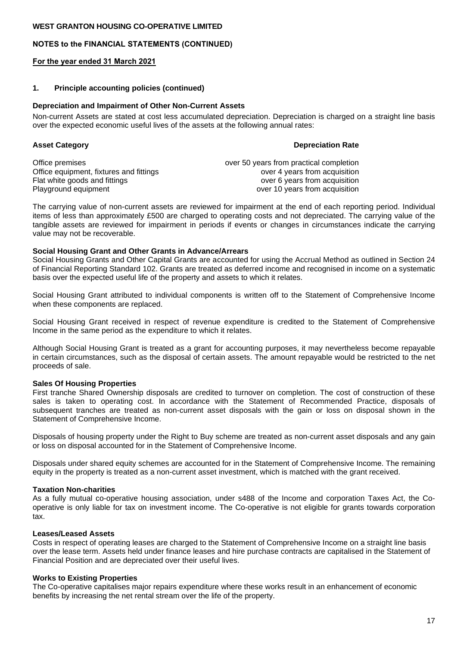### **NOTES to the FINANCIAL STATEMENTS (CONTINUED)**

#### **For the year ended 31 March 2021**

#### **1. Principle accounting policies (continued)**

#### **Depreciation and Impairment of Other Non-Current Assets**

Non-current Assets are stated at cost less accumulated depreciation. Depreciation is charged on a straight line basis over the expected economic useful lives of the assets at the following annual rates:

#### **Asset Category Depreciation Rate**

Office premises over 50 years from practical completion Office equipment, fixtures and fittings over 4 years from acquisition Flat white goods and fittings<br>
Playground equipment<br>
Over 10 years from acquisition<br>
Over 10 years from acquisition over 10 years from acquisition

The carrying value of non-current assets are reviewed for impairment at the end of each reporting period. Individual items of less than approximately £500 are charged to operating costs and not depreciated. The carrying value of the tangible assets are reviewed for impairment in periods if events or changes in circumstances indicate the carrying value may not be recoverable.

#### **Social Housing Grant and Other Grants in Advance/Arrears**

Social Housing Grants and Other Capital Grants are accounted for using the Accrual Method as outlined in Section 24 of Financial Reporting Standard 102. Grants are treated as deferred income and recognised in income on a systematic basis over the expected useful life of the property and assets to which it relates.

Social Housing Grant attributed to individual components is written off to the Statement of Comprehensive Income when these components are replaced.

Social Housing Grant received in respect of revenue expenditure is credited to the Statement of Comprehensive Income in the same period as the expenditure to which it relates.

Although Social Housing Grant is treated as a grant for accounting purposes, it may nevertheless become repayable in certain circumstances, such as the disposal of certain assets. The amount repayable would be restricted to the net proceeds of sale.

#### **Sales Of Housing Properties**

First tranche Shared Ownership disposals are credited to turnover on completion. The cost of construction of these sales is taken to operating cost. In accordance with the Statement of Recommended Practice, disposals of subsequent tranches are treated as non-current asset disposals with the gain or loss on disposal shown in the Statement of Comprehensive Income.

Disposals of housing property under the Right to Buy scheme are treated as non-current asset disposals and any gain or loss on disposal accounted for in the Statement of Comprehensive Income.

Disposals under shared equity schemes are accounted for in the Statement of Comprehensive Income. The remaining equity in the property is treated as a non-current asset investment, which is matched with the grant received.

#### **Taxation Non-charities**

As a fully mutual co-operative housing association, under s488 of the Income and corporation Taxes Act, the Cooperative is only liable for tax on investment income. The Co-operative is not eligible for grants towards corporation tax.

## **Leases/Leased Assets**

Costs in respect of operating leases are charged to the Statement of Comprehensive Income on a straight line basis over the lease term. Assets held under finance leases and hire purchase contracts are capitalised in the Statement of Financial Position and are depreciated over their useful lives.

## **Works to Existing Properties**

The Co-operative capitalises major repairs expenditure where these works result in an enhancement of economic benefits by increasing the net rental stream over the life of the property.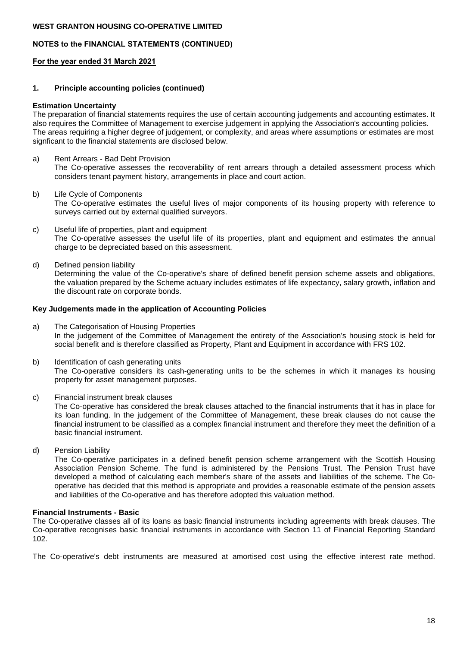## **NOTES to the FINANCIAL STATEMENTS (CONTINUED)**

### **For the year ended 31 March 2021**

#### **1. Principle accounting policies (continued)**

#### **Estimation Uncertainty**

The preparation of financial statements requires the use of certain accounting judgements and accounting estimates. It also requires the Committee of Management to exercise judgement in applying the Association's accounting policies. The areas requiring a higher degree of judgement, or complexity, and areas where assumptions or estimates are most signficant to the financial statements are disclosed below.

- a) Rent Arrears Bad Debt Provision The Co-operative assesses the recoverability of rent arrears through a detailed assessment process which considers tenant payment history, arrangements in place and court action.
- b) Life Cycle of Components The Co-operative estimates the useful lives of major components of its housing property with reference to surveys carried out by external qualified surveyors.
- c) Useful life of properties, plant and equipment The Co-operative assesses the useful life of its properties, plant and equipment and estimates the annual charge to be depreciated based on this assessment.
- d) Defined pension liability Determining the value of the Co-operative's share of defined benefit pension scheme assets and obligations, the valuation prepared by the Scheme actuary includes estimates of life expectancy, salary growth, inflation and the discount rate on corporate bonds.

#### **Key Judgements made in the application of Accounting Policies**

- a) The Categorisation of Housing Properties In the judgement of the Committee of Management the entirety of the Association's housing stock is held for social benefit and is therefore classified as Property, Plant and Equipment in accordance with FRS 102.
- b) Identification of cash generating units The Co-operative considers its cash-generating units to be the schemes in which it manages its housing property for asset management purposes.
- c) Financial instrument break clauses

The Co-operative has considered the break clauses attached to the financial instruments that it has in place for its loan funding. In the judgement of the Committee of Management, these break clauses do not cause the financial instrument to be classified as a complex financial instrument and therefore they meet the definition of a basic financial instrument.

d) Pension Liability

The Co-operative participates in a defined benefit pension scheme arrangement with the Scottish Housing Association Pension Scheme. The fund is administered by the Pensions Trust. The Pension Trust have developed a method of calculating each member's share of the assets and liabilities of the scheme. The Cooperative has decided that this method is appropriate and provides a reasonable estimate of the pension assets and liabilities of the Co-operative and has therefore adopted this valuation method.

#### **Financial Instruments - Basic**

The Co-operative classes all of its loans as basic financial instruments including agreements with break clauses. The Co-operative recognises basic financial instruments in accordance with Section 11 of Financial Reporting Standard 102.

The Co-operative's debt instruments are measured at amortised cost using the effective interest rate method.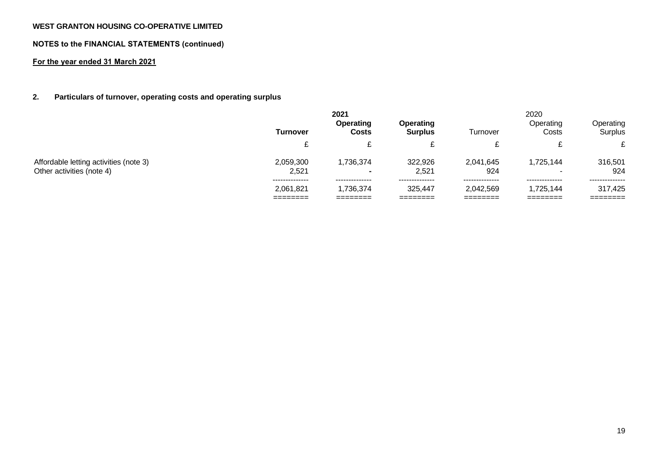## **NOTES to the FINANCIAL STATEMENTS (continued)**

## **For the year ended 31 March 2021**

## **2. Particulars of turnover, operating costs and operating surplus**

|                                                                     | 2021                        |                                  |                             |                             | 2020                        |                           |
|---------------------------------------------------------------------|-----------------------------|----------------------------------|-----------------------------|-----------------------------|-----------------------------|---------------------------|
|                                                                     | Turnover                    | <b>Operating</b><br><b>Costs</b> | Operating<br><b>Surplus</b> | Turnover                    | Operating<br>Costs          | Operating<br>Surplus      |
|                                                                     | £<br>∼                      |                                  | c                           | ⌒                           |                             | c.                        |
| Affordable letting activities (note 3)<br>Other activities (note 4) | 2,059,300<br>2.521          | 1,736,374<br>$\blacksquare$      | 322,926<br>2.521            | 2,041,645<br>924            | 1,725,144                   | 316,501<br>924            |
|                                                                     | --------------<br>2,061,821 | --------------<br>1,736,374      | --------------<br>325,447   | --------------<br>2,042,569 | --------------<br>1,725,144 | --------------<br>317,425 |
|                                                                     |                             |                                  |                             |                             |                             | ---------                 |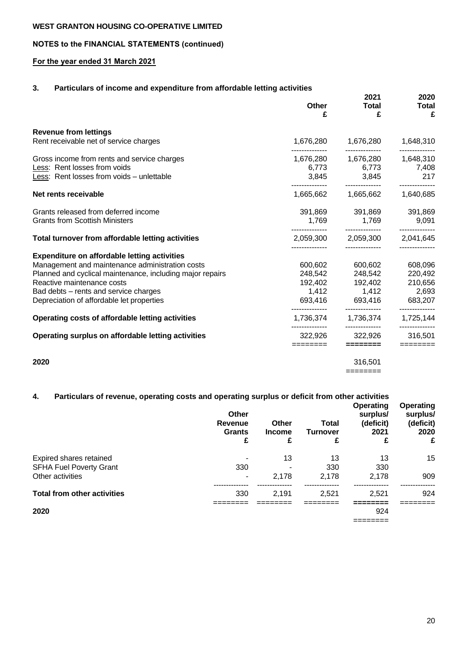# **NOTES to the FINANCIAL STATEMENTS (continued)**

# **For the year ended 31 March 2021**

# **3. Particulars of income and expenditure from affordable letting activities**

|                                                           | Other<br>£                  | 2021<br><b>Total</b><br>£                            | 2020<br><b>Total</b><br>£   |
|-----------------------------------------------------------|-----------------------------|------------------------------------------------------|-----------------------------|
| <b>Revenue from lettings</b>                              |                             |                                                      |                             |
| Rent receivable net of service charges                    | 1,676,280                   | 1,676,280                                            | 1,648,310                   |
| Gross income from rents and service charges               | --------------              | ---------------<br>1,676,280   1,676,280   1,648,310 | ------------                |
| Less: Rent losses from voids                              |                             | 6,773 6,773                                          | 7,408                       |
| Less: Rent losses from voids - unlettable                 |                             | 3,845 3,845                                          | 217                         |
| Net rents receivable                                      |                             |                                                      | 1,640,685                   |
| Grants released from deferred income                      |                             | 391,869 391,869                                      | 391,869                     |
| <b>Grants from Scottish Ministers</b>                     |                             | 1,769 1,769                                          | 9,091                       |
| Total turnover from affordable letting activities         |                             | 2,059,300 2,059,300 2,041,645                        | --------------              |
| <b>Expenditure on affordable letting activities</b>       |                             |                                                      |                             |
| Management and maintenance administration costs           | 600,602                     | 600,602                                              | 608,096                     |
| Planned and cyclical maintenance, including major repairs |                             | 248,542 248,542                                      | 220,492                     |
| Reactive maintenance costs                                |                             |                                                      | 210,656                     |
| Bad debts - rents and service charges                     |                             | 1,412 1,412                                          | 2,693                       |
| Depreciation of affordable let properties                 |                             | 693,416 693,416 683,207                              |                             |
| Operating costs of affordable letting activities          | --------------<br>1,736,374 | --------------<br>1,736,374                          | ------------<br>1,725,144   |
| Operating surplus on affordable letting activities        | 322,926                     | 322,926                                              | -------------<br>316,501    |
|                                                           | ========                    | ========                                             | $=$ $=$ $=$ $=$ $=$ $=$ $=$ |
| 2020                                                      |                             | 316,501                                              |                             |
|                                                           |                             | ========                                             |                             |

# **4. Particulars of revenue, operating costs and operating surplus or deficit from other activities**

|                                    | Other<br>Revenue<br><b>Grants</b><br>£ | Other<br><b>Income</b><br>£ | Total<br><b>Turnover</b><br>£ | <b>Operating</b><br>surplus/<br>(deficit)<br>2021<br>£ | <b>Operating</b><br>surplus/<br>(deficit)<br>2020<br>£ |
|------------------------------------|----------------------------------------|-----------------------------|-------------------------------|--------------------------------------------------------|--------------------------------------------------------|
| Expired shares retained            |                                        | 13                          | 13                            | 13                                                     | 15                                                     |
| <b>SFHA Fuel Poverty Grant</b>     | 330                                    |                             | 330                           | 330                                                    |                                                        |
| Other activities                   |                                        | 2,178                       | 2.178                         | 2.178                                                  | 909                                                    |
|                                    |                                        |                             |                               |                                                        |                                                        |
| <b>Total from other activities</b> | 330                                    | 2,191                       | 2.521                         | 2,521                                                  | 924                                                    |
|                                    |                                        |                             |                               |                                                        |                                                        |
| 2020                               |                                        |                             |                               | 924                                                    |                                                        |
|                                    |                                        |                             |                               | --------<br>________                                   |                                                        |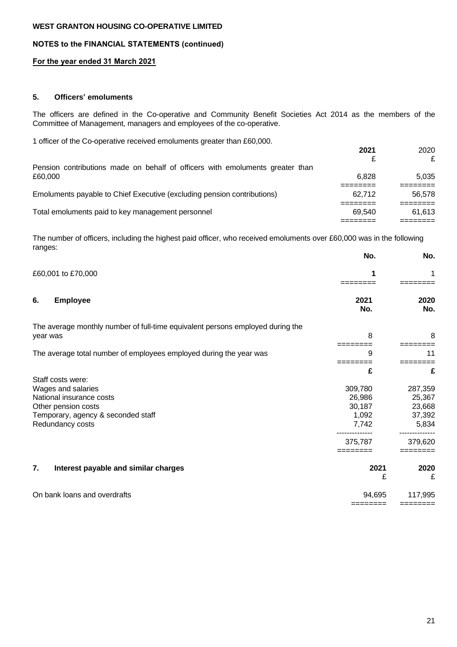## **NOTES to the FINANCIAL STATEMENTS (continued)**

## **For the year ended 31 March 2021**

## **5. Officers' emoluments**

The officers are defined in the Co-operative and Community Benefit Societies Act 2014 as the members of the Committee of Management, managers and employees of the co-operative.

1 officer of the Co-operative received emoluments greater than £60,000.

| 2021   | 2020<br>£ |
|--------|-----------|
|        |           |
| 6.828  | 5.035     |
|        |           |
| 62.712 | 56.578    |
|        |           |
| 69.540 | 61.613    |
|        |           |
|        |           |

The number of officers, including the highest paid officer, who received emoluments over £60,000 was in the following ranges:

|                                                                                                                                                      | No.                                                      | No.                                                       |
|------------------------------------------------------------------------------------------------------------------------------------------------------|----------------------------------------------------------|-----------------------------------------------------------|
| £60,001 to £70,000                                                                                                                                   | 1                                                        |                                                           |
| 6.<br><b>Employee</b>                                                                                                                                | 2021<br>No.                                              | 2020<br>No.                                               |
| The average monthly number of full-time equivalent persons employed during the<br>year was                                                           | 8                                                        | 8                                                         |
| The average total number of employees employed during the year was                                                                                   | 9                                                        | 11                                                        |
|                                                                                                                                                      | £                                                        | £                                                         |
| Staff costs were:<br>Wages and salaries<br>National insurance costs<br>Other pension costs<br>Temporary, agency & seconded staff<br>Redundancy costs | 309,780<br>26,986<br>30,187<br>1,092<br>7,742<br>375,787 | 287,359<br>25,367<br>23,668<br>37,392<br>5,834<br>379,620 |
| 7.<br>Interest payable and similar charges                                                                                                           | 2021<br>£                                                | 2020<br>£                                                 |
| On bank loans and overdrafts                                                                                                                         | 94,695                                                   | 117,995                                                   |

======== ========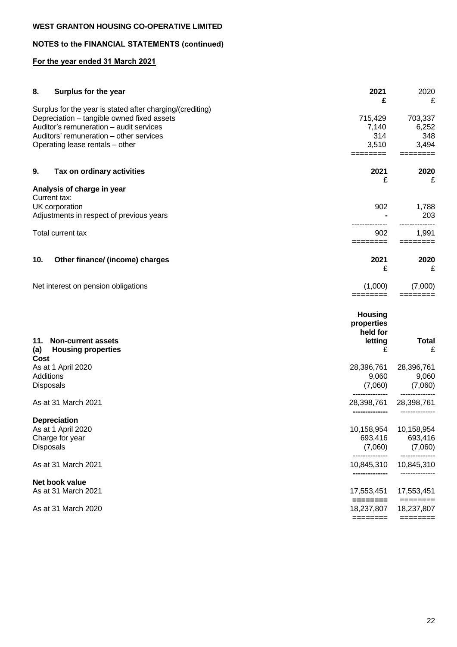# **NOTES to the FINANCIAL STATEMENTS (continued)**

## **For the year ended 31 March 2021**

| 8.          | Surplus for the year                                      | 2021                                                                                           | 2020                            |
|-------------|-----------------------------------------------------------|------------------------------------------------------------------------------------------------|---------------------------------|
|             | Surplus for the year is stated after charging/(crediting) | £                                                                                              | £                               |
|             | Depreciation - tangible owned fixed assets                | 715,429                                                                                        | 703,337                         |
|             | Auditor's remuneration - audit services                   | 7,140                                                                                          | 6,252                           |
|             | Auditors' remuneration - other services                   | 314                                                                                            | 348                             |
|             | Operating lease rentals - other                           | 3,510<br>========                                                                              | 3,494                           |
| 9.          | Tax on ordinary activities                                | 2021                                                                                           | 2020                            |
|             |                                                           | £                                                                                              | £                               |
|             | Analysis of charge in year                                |                                                                                                |                                 |
|             | Current tax:                                              |                                                                                                |                                 |
|             | UK corporation                                            | 902                                                                                            | 1,788                           |
|             | Adjustments in respect of previous years                  |                                                                                                | 203                             |
|             | Total current tax                                         | 902                                                                                            | 1,991                           |
|             |                                                           | $=$ = = = = = = =                                                                              | $=$ =======                     |
| 10.         | Other finance/ (income) charges                           | 2021<br>£                                                                                      | 2020<br>£                       |
|             | Net interest on pension obligations                       | (1,000)                                                                                        | (7,000)                         |
|             |                                                           | $=$ =======                                                                                    | $=$ $=$ $=$ $=$ $=$ $=$ $=$ $=$ |
|             |                                                           | <b>Housing</b><br>properties<br>held for                                                       |                                 |
| 11.         | <b>Non-current assets</b>                                 | letting                                                                                        | <b>Total</b>                    |
| (a)<br>Cost | <b>Housing properties</b>                                 | £                                                                                              | £                               |
|             | As at 1 April 2020                                        | 28,396,761                                                                                     | 28,396,761                      |
|             | Additions                                                 | 9,060                                                                                          | 9,060                           |
|             | <b>Disposals</b>                                          | (7,060)                                                                                        | (7,060)                         |
|             | As at 31 March 2021                                       | 28,398,761                                                                                     | 28,398,761                      |
|             | <b>Depreciation</b>                                       |                                                                                                |                                 |
|             | As at 1 April 2020                                        | 10,158,954                                                                                     | 10,158,954                      |
|             | Charge for year                                           | 693,416                                                                                        | 693,416                         |
|             | <b>Disposals</b>                                          | (7,060)<br>--------------                                                                      | (7,060)                         |
|             | As at 31 March 2021                                       | 10,845,310                                                                                     | 10,845,310                      |
|             | Net book value                                            |                                                                                                |                                 |
|             | As at 31 March 2021                                       | 17,553,451<br>$\begin{array}{c} \texttt{m} = \texttt{m} = \texttt{m} = \texttt{m} \end{array}$ | 17,553,451<br>========          |
|             | As at 31 March 2020                                       | 18,237,807                                                                                     | 18,237,807                      |
|             |                                                           | ========                                                                                       |                                 |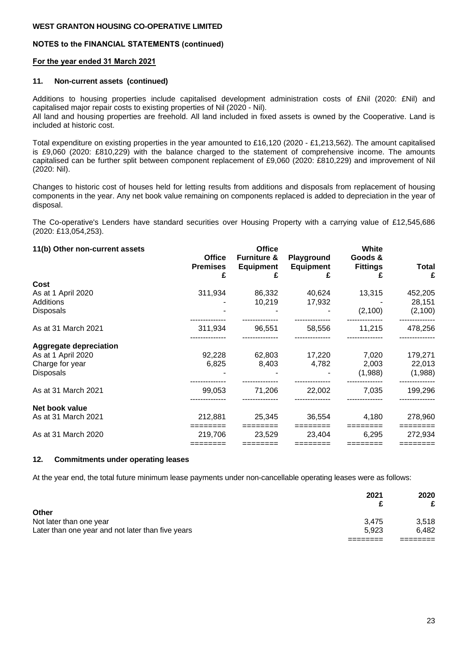## **NOTES to the FINANCIAL STATEMENTS (continued)**

## **For the year ended 31 March 2021**

## **11. Non-current assets (continued)**

Additions to housing properties include capitalised development administration costs of £Nil (2020: £Nil) and capitalised major repair costs to existing properties of Nil (2020 - Nil).

All land and housing properties are freehold. All land included in fixed assets is owned by the Cooperative. Land is included at historic cost.

Total expenditure on existing properties in the year amounted to £16,120 (2020 - £1,213,562). The amount capitalised is £9,060 (2020: £810,229) with the balance charged to the statement of comprehensive income. The amounts capitalised can be further split between component replacement of £9,060 (2020: £810,229) and improvement of Nil (2020: Nil).

Changes to historic cost of houses held for letting results from additions and disposals from replacement of housing components in the year. Any net book value remaining on components replaced is added to depreciation in the year of disposal.

The Co-operative's Lenders have standard securities over Housing Property with a carrying value of £12,545,686 (2020: £13,054,253).

| 11(b) Other non-current assets |                 | <b>Office</b>          |                  | White           |              |
|--------------------------------|-----------------|------------------------|------------------|-----------------|--------------|
|                                | <b>Office</b>   | <b>Furniture &amp;</b> | Playground       | Goods &         |              |
|                                | <b>Premises</b> | <b>Equipment</b>       | <b>Equipment</b> | <b>Fittings</b> | <b>Total</b> |
|                                | £               |                        |                  |                 |              |
| Cost                           |                 |                        |                  |                 |              |
| As at 1 April 2020             | 311,934         | 86,332                 | 40,624           | 13,315          | 452,205      |
| Additions                      |                 | 10,219                 | 17,932           |                 | 28,151       |
| <b>Disposals</b>               |                 |                        |                  | (2,100)         | (2,100)      |
| As at 31 March 2021            | 311,934         | 96,551                 | 58,556           | 11,215          | 478,256      |
|                                |                 |                        |                  |                 |              |
| <b>Aggregate depreciation</b>  |                 |                        |                  |                 |              |
| As at 1 April 2020             | 92,228          | 62,803                 | 17,220           | 7,020           | 179,271      |
| Charge for year                | 6,825           | 8,403                  | 4,782            | 2,003           | 22,013       |
| <b>Disposals</b>               |                 |                        |                  | (1,988)         | (1,988)      |
| As at 31 March 2021            | 99,053          | 71,206                 | 22,002           | 7,035           | 199,296      |
|                                |                 |                        |                  |                 |              |
| Net book value                 |                 |                        |                  |                 |              |
| As at 31 March 2021            | 212,881         | 25,345                 | 36,554           | 4,180           | 278,960      |
|                                |                 |                        |                  |                 |              |
| As at 31 March 2020            | 219.706         | 23.529                 | 23.404           | 6.295           | 272,934      |
|                                |                 |                        |                  |                 |              |

#### **12. Commitments under operating leases**

At the year end, the total future minimum lease payments under non-cancellable operating leases were as follows:

|                                                   | 2021  | 2020  |
|---------------------------------------------------|-------|-------|
| Other                                             |       |       |
| Not later than one year                           | 3.475 | 3.518 |
| Later than one year and not later than five years | 5.923 | 6.482 |
|                                                   |       |       |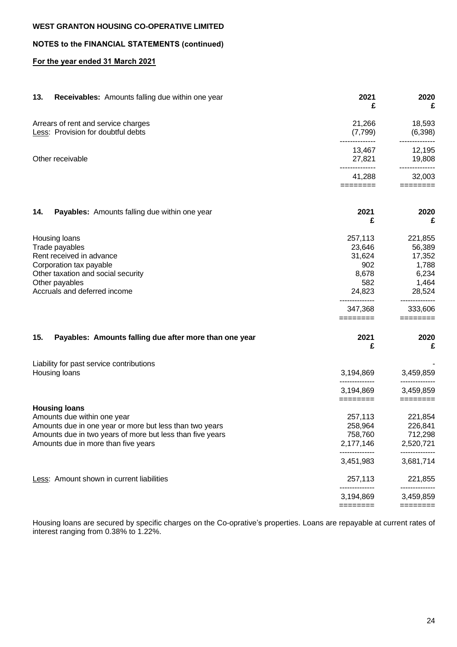## **NOTES to the FINANCIAL STATEMENTS (continued)**

## **For the year ended 31 March 2021**

| 13. | Receivables: Amounts falling due within one year          | 2021<br>£                   | 2020<br>£                 |
|-----|-----------------------------------------------------------|-----------------------------|---------------------------|
|     | Arrears of rent and service charges                       | 21,266                      | 18,593                    |
|     | Less: Provision for doubtful debts                        | (7,799)                     | (6,398)<br>-----------    |
|     |                                                           | 13,467                      | 12,195                    |
|     | Other receivable                                          | 27,821                      | 19,808<br>--------------  |
|     |                                                           | 41,288<br>========          | 32,003<br>========        |
| 14. | Payables: Amounts falling due within one year             | 2021<br>£                   | 2020<br>£                 |
|     | Housing loans                                             | 257,113                     | 221,855                   |
|     | Trade payables                                            | 23,646                      | 56,389                    |
|     | Rent received in advance                                  | 31,624                      | 17,352                    |
|     | Corporation tax payable                                   | 902                         | 1,788                     |
|     | Other taxation and social security                        | 8,678                       | 6,234                     |
|     | Other payables                                            | 582                         | 1,464                     |
|     | Accruals and deferred income                              | 24,823                      | 28,524                    |
|     |                                                           | --------------<br>347,368   | --------------<br>333,606 |
|     |                                                           | ========                    | ========                  |
| 15. | Payables: Amounts falling due after more than one year    | 2021<br>£                   | 2020<br>£                 |
|     | Liability for past service contributions                  |                             |                           |
|     | Housing loans                                             | 3,194,869                   | 3,459,859<br>---------    |
|     |                                                           | 3,194,869<br>========       | 3,459,859<br>$=$ =======  |
|     | <b>Housing loans</b>                                      |                             |                           |
|     | Amounts due within one year                               | 257,113                     | 221,854                   |
|     | Amounts due in one year or more but less than two years   | 258,964                     | 226,841                   |
|     | Amounts due in two years of more but less than five years | 758,760                     | 712,298                   |
|     | Amounts due in more than five years                       | 2,177,146<br>-------------- | 2,520,721                 |
|     |                                                           | 3,451,983                   | 3,681,714                 |
|     | Less: Amount shown in current liabilities                 | 257,113                     | 221,855                   |
|     |                                                           | ---------<br>3,194,869      | 3,459,859                 |
|     |                                                           | ========                    | ========                  |

Housing loans are secured by specific charges on the Co-oprative's properties. Loans are repayable at current rates of interest ranging from 0.38% to 1.22%.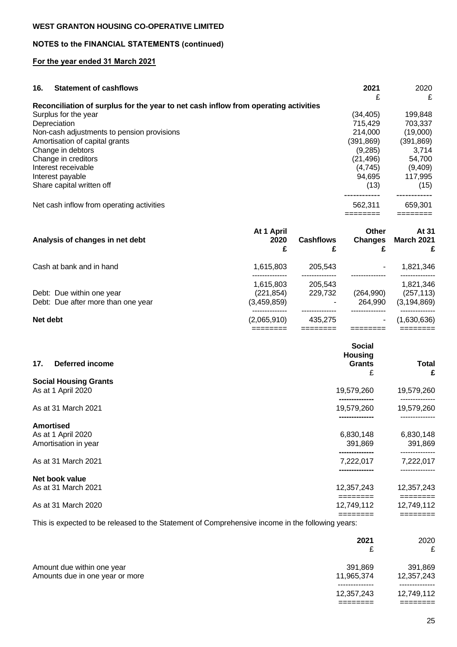# **NOTES to the FINANCIAL STATEMENTS (continued)**

## **For the year ended 31 March 2021**

| 16. | <b>Statement of cashflows</b>                                                       | 2021       | 2020      |
|-----|-------------------------------------------------------------------------------------|------------|-----------|
|     |                                                                                     | £          | £         |
|     | Reconciliation of surplus for the year to net cash inflow from operating activities |            |           |
|     | Surplus for the year                                                                | (34,405)   | 199,848   |
|     | Depreciation                                                                        | 715,429    | 703.337   |
|     | Non-cash adjustments to pension provisions                                          | 214.000    | (19,000)  |
|     | Amortisation of capital grants                                                      | (391, 869) | (391,869) |
|     | Change in debtors                                                                   | (9.285)    | 3.714     |
|     | Change in creditors                                                                 | (21.496)   | 54.700    |
|     | Interest receivable                                                                 | (4.745)    | (9,409)   |
|     | Interest payable                                                                    | 94.695     | 117,995   |
|     | Share capital written off                                                           | (13)       | (15)      |
|     |                                                                                     |            |           |
|     | Net cash inflow from operating activities                                           | 562,311    | 659,301   |
|     |                                                                                     |            |           |

| Analysis of changes in net debt                                 | At 1 April<br>2020<br>£                | <b>Cashflows</b>   | Other<br><b>Changes</b> | At 31<br><b>March 2021</b><br>£          |
|-----------------------------------------------------------------|----------------------------------------|--------------------|-------------------------|------------------------------------------|
| Cash at bank and in hand                                        | 1,615,803                              | 205.543            |                         | 1,821,346                                |
| Debt: Due within one year<br>Debt: Due after more than one year | 1.615.803<br>(221, 854)<br>(3,459,859) | 205.543<br>229.732 | (264, 990)<br>264.990   | 1,821,346<br>(257, 113)<br>(3, 194, 869) |
| Net debt                                                        | (2,065,910)                            | 435.275            |                         | (1,630,636)                              |

======== ======== ======== ========

| Deferred income<br>17.                     | <b>Social</b><br><b>Housing</b><br><b>Grants</b><br>£ | Total<br>£             |
|--------------------------------------------|-------------------------------------------------------|------------------------|
| <b>Social Housing Grants</b>               |                                                       |                        |
| As at 1 April 2020                         | 19,579,260                                            | 19,579,260             |
| As at 31 March 2021                        | 19,579,260                                            | 19,579,260             |
| <b>Amortised</b>                           | -----------                                           | -------------          |
| As at 1 April 2020<br>Amortisation in year | 6,830,148<br>391,869                                  | 6,830,148<br>391,869   |
| As at 31 March 2021                        | 7,222,017                                             | 7,222,017              |
| Net book value                             |                                                       |                        |
| As at 31 March 2021                        | 12,357,243                                            | 12,357,243             |
| As at 31 March 2020                        | 12,749,112                                            | ========<br>12,749,112 |
|                                            |                                                       | ========               |

This is expected to be released to the Statement of Comprehensive income in the following years:

|                                                               | 2021                  | 2020<br>£             |
|---------------------------------------------------------------|-----------------------|-----------------------|
| Amount due within one year<br>Amounts due in one year or more | 391,869<br>11,965,374 | 391,869<br>12,357,243 |
|                                                               | 12,357,243            | 12,749,112            |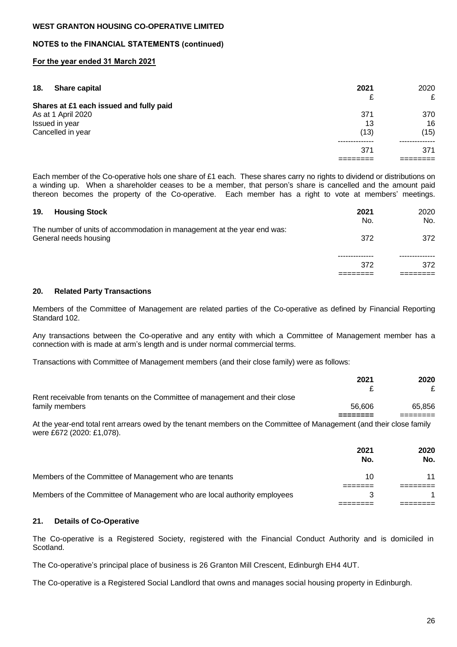## **NOTES to the FINANCIAL STATEMENTS (continued)**

### **For the year ended 31 March 2021**

| 18. | <b>Share capital</b>                    | 2021 | 2020 |
|-----|-----------------------------------------|------|------|
|     |                                         | £    | £    |
|     | Shares at £1 each issued and fully paid |      |      |
|     | As at 1 April 2020                      | 371  | 370  |
|     | Issued in year                          | 13   | 16   |
|     | Cancelled in year                       | (13) | (15) |
|     |                                         |      |      |
|     |                                         | 371  | 371  |
|     |                                         |      |      |

Each member of the Co-operative hols one share of £1 each. These shares carry no rights to dividend or distributions on a winding up. When a shareholder ceases to be a member, that person's share is cancelled and the amount paid thereon becomes the property of the Co-operative. Each member has a right to vote at members' meetings.

| 19.<br><b>Housing Stock</b>                                                                      | 2021<br>No. | 2020<br>No. |
|--------------------------------------------------------------------------------------------------|-------------|-------------|
| The number of units of accommodation in management at the year end was:<br>General needs housing | 372         | 372         |
|                                                                                                  |             |             |
|                                                                                                  | 372         | 372         |
|                                                                                                  |             |             |

#### **20. Related Party Transactions**

Members of the Committee of Management are related parties of the Co-operative as defined by Financial Reporting Standard 102.

Any transactions between the Co-operative and any entity with which a Committee of Management member has a connection with is made at arm's length and is under normal commercial terms.

Transactions with Committee of Management members (and their close family) were as follows:

|                                                                                                                     | 2021   | 2020   |
|---------------------------------------------------------------------------------------------------------------------|--------|--------|
| Rent receivable from tenants on the Committee of management and their close                                         |        |        |
| family members                                                                                                      | 56.606 | 65.856 |
|                                                                                                                     |        |        |
| At the second that all the second problems to an individual and the Campaittee of Menagement (and their dead foully |        |        |

At the year-end total rent arrears owed by the tenant members on the Committee of Management (and their close family were £672 (2020: £1,078).

|                                                                          | 2021<br>No. | 2020<br>No. |
|--------------------------------------------------------------------------|-------------|-------------|
| Members of the Committee of Management who are tenants                   | 10          |             |
|                                                                          |             |             |
| Members of the Committee of Management who are local authority employees |             |             |
|                                                                          |             |             |

## **21. Details of Co-Operative**

The Co-operative is a Registered Society, registered with the Financial Conduct Authority and is domiciled in Scotland.

The Co-operative's principal place of business is 26 Granton Mill Crescent, Edinburgh EH4 4UT.

The Co-operative is a Registered Social Landlord that owns and manages social housing property in Edinburgh.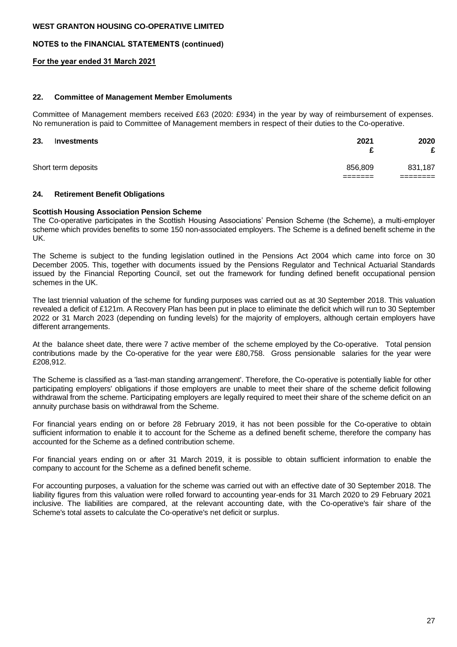## **NOTES to the FINANCIAL STATEMENTS (continued)**

#### **For the year ended 31 March 2021**

#### **22. Committee of Management Member Emoluments**

Committee of Management members received £63 (2020: £934) in the year by way of reimbursement of expenses. No remuneration is paid to Committee of Management members in respect of their duties to the Co-operative.

| 23. | Investments         | 2021<br>c           | 2020<br>£ |
|-----|---------------------|---------------------|-----------|
|     | Short term deposits | 856,809<br>-------- | 831,187   |

#### **24. Retirement Benefit Obligations**

#### **Scottish Housing Association Pension Scheme**

The Co-operative participates in the Scottish Housing Associations' Pension Scheme (the Scheme), a multi-employer scheme which provides benefits to some 150 non-associated employers. The Scheme is a defined benefit scheme in the UK.

The Scheme is subject to the funding legislation outlined in the Pensions Act 2004 which came into force on 30 December 2005. This, together with documents issued by the Pensions Regulator and Technical Actuarial Standards issued by the Financial Reporting Council, set out the framework for funding defined benefit occupational pension schemes in the UK.

The last triennial valuation of the scheme for funding purposes was carried out as at 30 September 2018. This valuation revealed a deficit of £121m. A Recovery Plan has been put in place to eliminate the deficit which will run to 30 September 2022 or 31 March 2023 (depending on funding levels) for the majority of employers, although certain employers have different arrangements.

At the balance sheet date, there were 7 active member of the scheme employed by the Co-operative. Total pension contributions made by the Co-operative for the year were £80,758. Gross pensionable salaries for the year were £208,912.

The Scheme is classified as a 'last-man standing arrangement'. Therefore, the Co-operative is potentially liable for other participating employers' obligations if those employers are unable to meet their share of the scheme deficit following withdrawal from the scheme. Participating employers are legally required to meet their share of the scheme deficit on an annuity purchase basis on withdrawal from the Scheme.

For financial years ending on or before 28 February 2019, it has not been possible for the Co-operative to obtain sufficient information to enable it to account for the Scheme as a defined benefit scheme, therefore the company has accounted for the Scheme as a defined contribution scheme.

For financial years ending on or after 31 March 2019, it is possible to obtain sufficient information to enable the company to account for the Scheme as a defined benefit scheme.

For accounting purposes, a valuation for the scheme was carried out with an effective date of 30 September 2018. The liability figures from this valuation were rolled forward to accounting year-ends for 31 March 2020 to 29 February 2021 inclusive. The liabilities are compared, at the relevant accounting date, with the Co-operative's fair share of the Scheme's total assets to calculate the Co-operative's net deficit or surplus.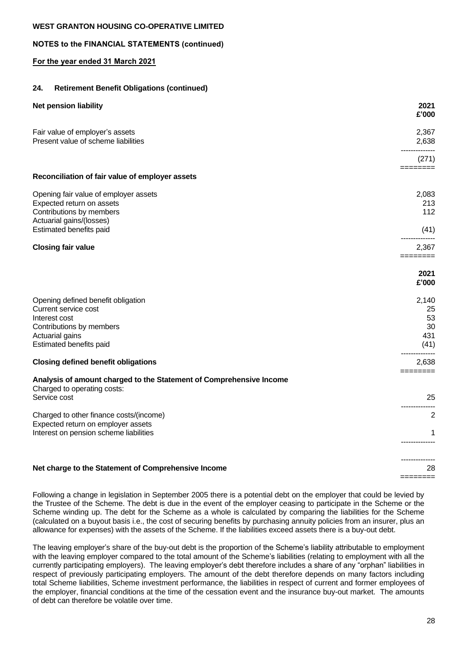# **NOTES to the FINANCIAL STATEMENTS (continued)**

# **For the year ended 31 March 2021**

# **24. Retirement Benefit Obligations (continued)**

| <b>Net pension liability</b>                                                                                                                          | 2021<br>£'000                          |
|-------------------------------------------------------------------------------------------------------------------------------------------------------|----------------------------------------|
| Fair value of employer's assets<br>Present value of scheme liabilities                                                                                | 2,367<br>2,638                         |
|                                                                                                                                                       | (271)                                  |
| Reconciliation of fair value of employer assets                                                                                                       | ========                               |
| Opening fair value of employer assets<br>Expected return on assets<br>Contributions by members<br>Actuarial gains/(losses)                            | 2,083<br>213<br>112                    |
| Estimated benefits paid                                                                                                                               | (41)                                   |
| <b>Closing fair value</b>                                                                                                                             | 2,367<br>========                      |
|                                                                                                                                                       | 2021<br>£'000                          |
| Opening defined benefit obligation<br>Current service cost<br>Interest cost<br>Contributions by members<br>Actuarial gains<br>Estimated benefits paid | 2,140<br>25<br>53<br>30<br>431<br>(41) |
| <b>Closing defined benefit obligations</b>                                                                                                            | 2,638                                  |
| Analysis of amount charged to the Statement of Comprehensive Income<br>Charged to operating costs:                                                    | ========                               |
| Service cost                                                                                                                                          | 25                                     |
| Charged to other finance costs/(income)<br>Expected return on employer assets                                                                         | $\overline{c}$                         |
| Interest on pension scheme liabilities                                                                                                                | 1                                      |
| Net charge to the Statement of Comprehensive Income                                                                                                   | 28                                     |

Following a change in legislation in September 2005 there is a potential debt on the employer that could be levied by the Trustee of the Scheme. The debt is due in the event of the employer ceasing to participate in the Scheme or the Scheme winding up. The debt for the Scheme as a whole is calculated by comparing the liabilities for the Scheme (calculated on a buyout basis i.e., the cost of securing benefits by purchasing annuity policies from an insurer, plus an allowance for expenses) with the assets of the Scheme. If the liabilities exceed assets there is a buy-out debt.

The leaving employer's share of the buy-out debt is the proportion of the Scheme's liability attributable to employment with the leaving employer compared to the total amount of the Scheme's liabilities (relating to employment with all the currently participating employers). The leaving employer's debt therefore includes a share of any "orphan" liabilities in respect of previously participating employers. The amount of the debt therefore depends on many factors including total Scheme liabilities, Scheme investment performance, the liabilities in respect of current and former employees of the employer, financial conditions at the time of the cessation event and the insurance buy-out market. The amounts of debt can therefore be volatile over time.

========